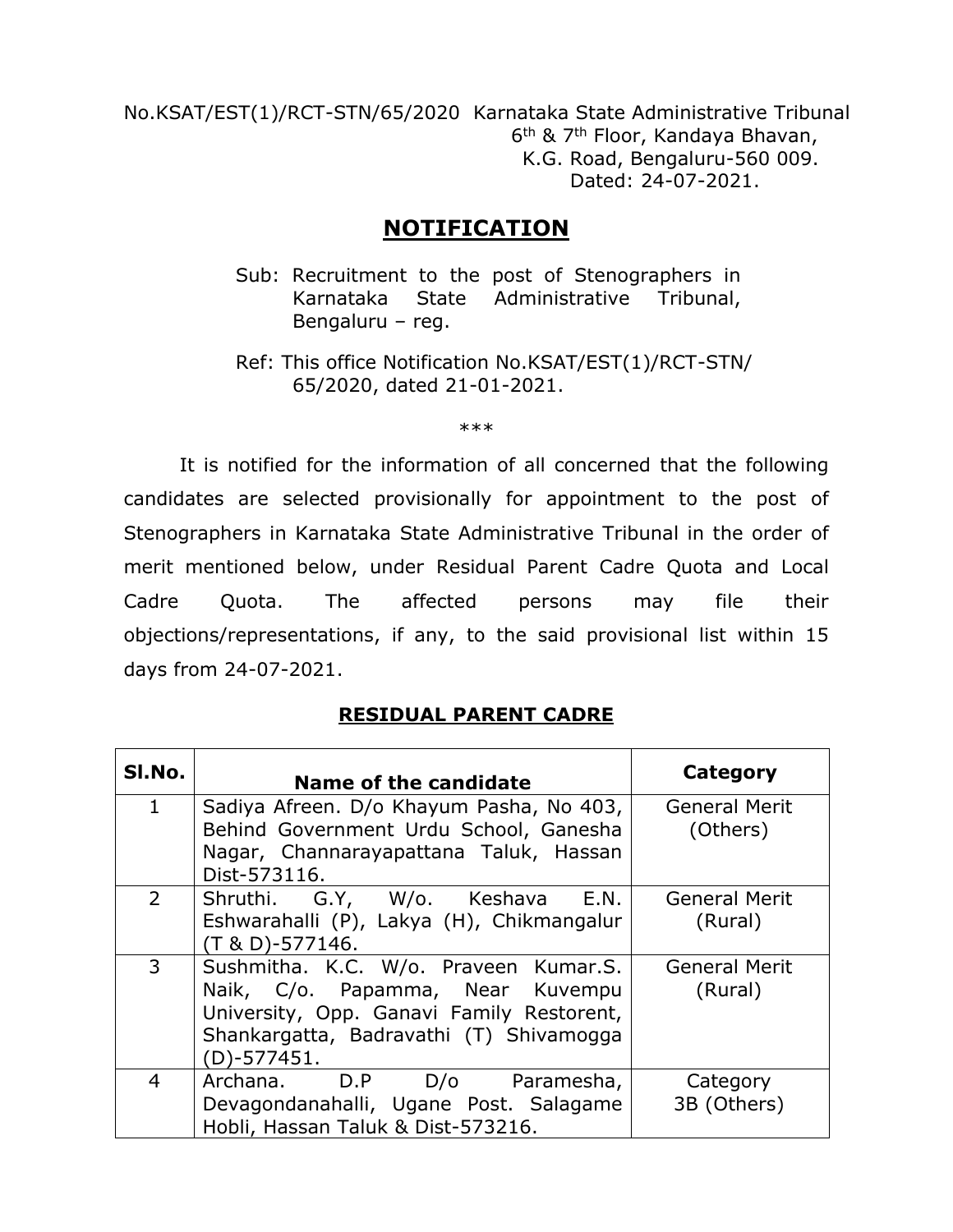No.KSAT/EST(1)/RCT-STN/65/2020 Karnataka State Administrative Tribunal  $\sim$  6  $6<sup>th</sup>$  & 7<sup>th</sup> Floor, Kandaya Bhavan, K.G. Road, Bengaluru-560 009. Dated: 24-07-2021.

# **NOTIFICATION**

- Sub: Recruitment to the post of Stenographers in Karnataka State Administrative Tribunal, Bengaluru – reg.
- Ref: This office Notification No.KSAT/EST(1)/RCT-STN/ 65/2020, dated 21-01-2021.

\*\*\*

It is notified for the information of all concerned that the following candidates are selected provisionally for appointment to the post of Stenographers in Karnataka State Administrative Tribunal in the order of merit mentioned below, under Residual Parent Cadre Quota and Local Cadre Quota. The affected persons may file their objections/representations, if any, to the said provisional list within 15 days from 24-07-2021.

#### **RESIDUAL PARENT CADRE**

| SI.No.         | Name of the candidate                                                                                                                                                            | Category                         |
|----------------|----------------------------------------------------------------------------------------------------------------------------------------------------------------------------------|----------------------------------|
| $\mathbf{1}$   | Sadiya Afreen. D/o Khayum Pasha, No 403,<br>Behind Government Urdu School, Ganesha<br>Nagar, Channarayapattana Taluk, Hassan<br>Dist-573116.                                     | <b>General Merit</b><br>(Others) |
| $\overline{2}$ | Shruthi. G.Y, W/o. Keshava E.N.<br>Eshwarahalli (P), Lakya (H), Chikmangalur<br>$(T & D)-577146.$                                                                                | <b>General Merit</b><br>(Rural)  |
| 3              | Sushmitha. K.C. W/o. Praveen Kumar.S.<br>Naik, C/o. Papamma, Near Kuvempu<br>University, Opp. Ganavi Family Restorent,<br>Shankargatta, Badravathi (T) Shivamogga<br>(D)-577451. | <b>General Merit</b><br>(Rural)  |
| 4              | Archana. D.P D/o Paramesha,<br>Devagondanahalli, Ugane Post. Salagame<br>Hobli, Hassan Taluk & Dist-573216.                                                                      | Category<br>3B (Others)          |